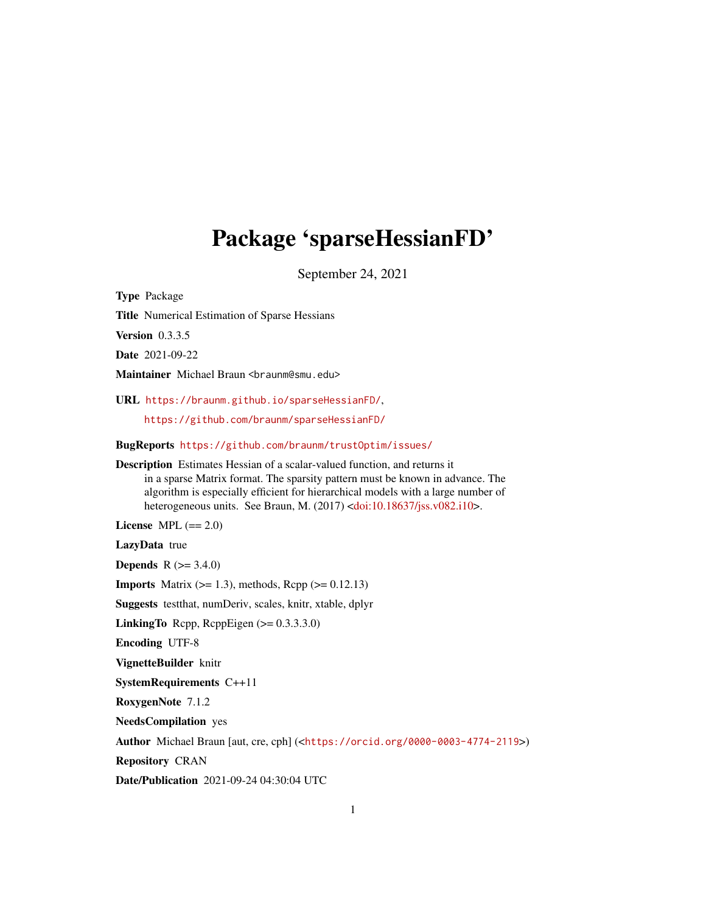# Package 'sparseHessianFD'

September 24, 2021

Type Package

Title Numerical Estimation of Sparse Hessians

Version 0.3.3.5

Date 2021-09-22

Maintainer Michael Braun <br />braunm@smu.edu>

URL <https://braunm.github.io/sparseHessianFD/>,

<https://github.com/braunm/sparseHessianFD/>

BugReports <https://github.com/braunm/trustOptim/issues/>

Description Estimates Hessian of a scalar-valued function, and returns it in a sparse Matrix format. The sparsity pattern must be known in advance. The algorithm is especially efficient for hierarchical models with a large number of heterogeneous units. See Braun, M. (2017) [<doi:10.18637/jss.v082.i10>](https://doi.org/10.18637/jss.v082.i10).

License MPL  $(== 2.0)$ 

LazyData true

**Depends** R  $(>= 3.4.0)$ 

**Imports** Matrix  $(>= 1.3)$ , methods, Rcpp  $(>= 0.12.13)$ 

Suggests testthat, numDeriv, scales, knitr, xtable, dplyr

**LinkingTo** Rcpp, RcppEigen  $(>= 0.3.3.3.0)$ 

Encoding UTF-8

VignetteBuilder knitr

SystemRequirements C++11

RoxygenNote 7.1.2

NeedsCompilation yes

Author Michael Braun [aut, cre, cph] (<<https://orcid.org/0000-0003-4774-2119>>)

Repository CRAN

Date/Publication 2021-09-24 04:30:04 UTC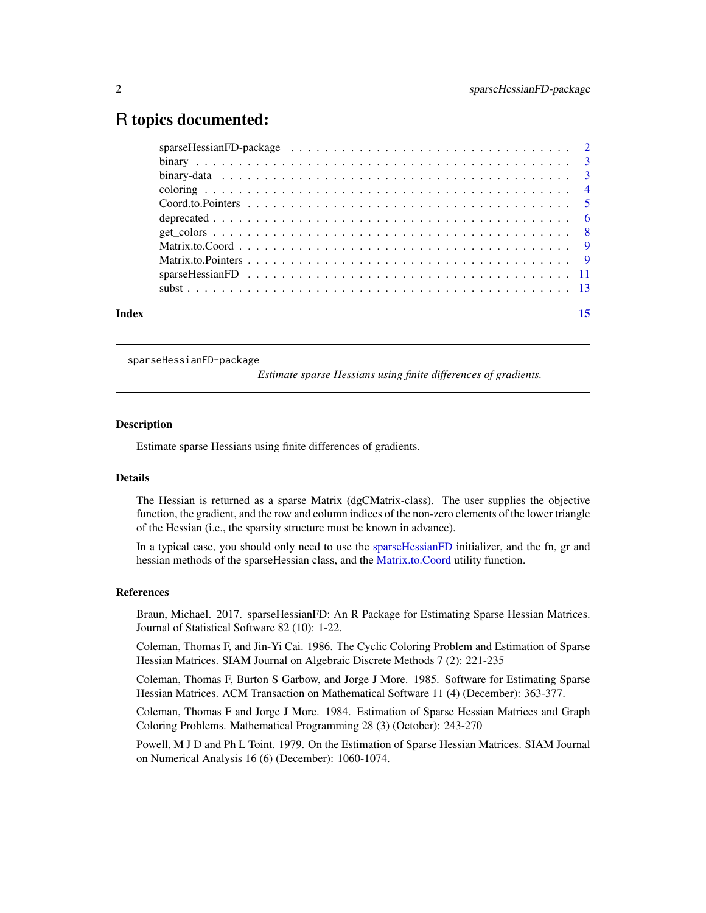# <span id="page-1-0"></span>R topics documented:

| Index |  |
|-------|--|
|       |  |
|       |  |
|       |  |
|       |  |
|       |  |
|       |  |
|       |  |
|       |  |
|       |  |
|       |  |
|       |  |

sparseHessianFD-package

*Estimate sparse Hessians using finite differences of gradients.*

# Description

Estimate sparse Hessians using finite differences of gradients.

#### Details

The Hessian is returned as a sparse Matrix (dgCMatrix-class). The user supplies the objective function, the gradient, and the row and column indices of the non-zero elements of the lower triangle of the Hessian (i.e., the sparsity structure must be known in advance).

In a typical case, you should only need to use the [sparseHessianFD](#page-10-1) initializer, and the fn, gr and hessian methods of the sparseHessian class, and the [Matrix.to.Coord](#page-8-1) utility function.

### References

Braun, Michael. 2017. sparseHessianFD: An R Package for Estimating Sparse Hessian Matrices. Journal of Statistical Software 82 (10): 1-22.

Coleman, Thomas F, and Jin-Yi Cai. 1986. The Cyclic Coloring Problem and Estimation of Sparse Hessian Matrices. SIAM Journal on Algebraic Discrete Methods 7 (2): 221-235

Coleman, Thomas F, Burton S Garbow, and Jorge J More. 1985. Software for Estimating Sparse Hessian Matrices. ACM Transaction on Mathematical Software 11 (4) (December): 363-377.

Coleman, Thomas F and Jorge J More. 1984. Estimation of Sparse Hessian Matrices and Graph Coloring Problems. Mathematical Programming 28 (3) (October): 243-270

Powell, M J D and Ph L Toint. 1979. On the Estimation of Sparse Hessian Matrices. SIAM Journal on Numerical Analysis 16 (6) (December): 1060-1074.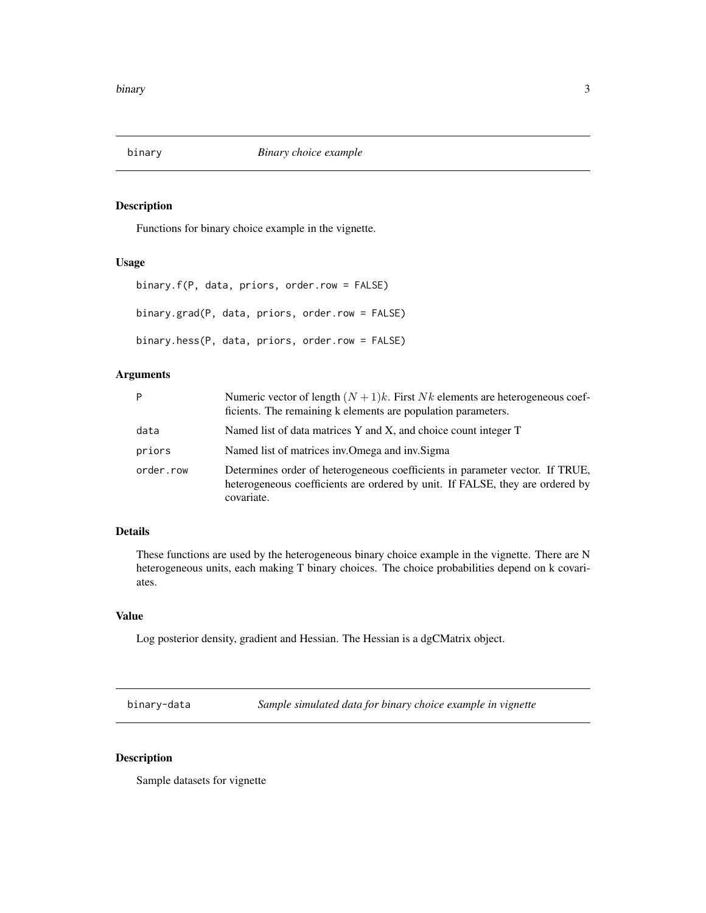<span id="page-2-0"></span>

# Description

Functions for binary choice example in the vignette.

# Usage

```
binary.f(P, data, priors, order.row = FALSE)
binary.grad(P, data, priors, order.row = FALSE)
binary.hess(P, data, priors, order.row = FALSE)
```
# Arguments

| P         | Numeric vector of length $(N + 1)k$ . First Nk elements are heterogeneous coef-<br>ficients. The remaining k elements are population parameters.                            |
|-----------|-----------------------------------------------------------------------------------------------------------------------------------------------------------------------------|
| data      | Named list of data matrices Y and X, and choice count integer T                                                                                                             |
| priors    | Named list of matrices inv. Omega and inv. Sigma                                                                                                                            |
| order.row | Determines order of heterogeneous coefficients in parameter vector. If TRUE,<br>heterogeneous coefficients are ordered by unit. If FALSE, they are ordered by<br>covariate. |

# Details

These functions are used by the heterogeneous binary choice example in the vignette. There are N heterogeneous units, each making T binary choices. The choice probabilities depend on k covariates.

# Value

Log posterior density, gradient and Hessian. The Hessian is a dgCMatrix object.

binary-data *Sample simulated data for binary choice example in vignette*

#### Description

Sample datasets for vignette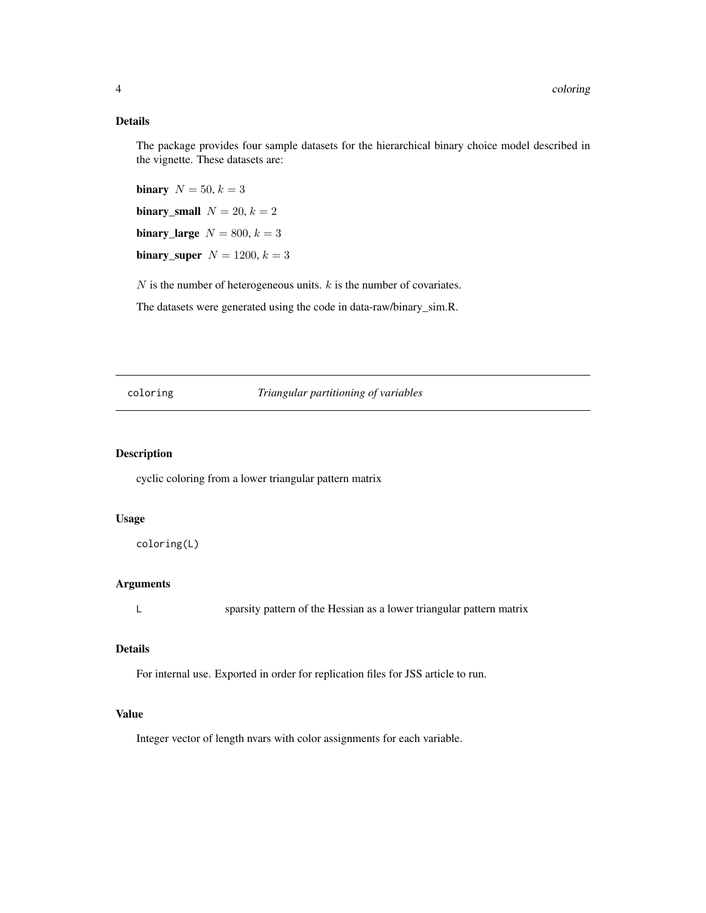# <span id="page-3-0"></span>Details

The package provides four sample datasets for the hierarchical binary choice model described in the vignette. These datasets are:

binary  $N = 50, k = 3$ binary\_small  $N = 20, k = 2$ binary\_large  $N = 800, k = 3$ binary\_super  $N = 1200, k = 3$ 

 $N$  is the number of heterogeneous units.  $k$  is the number of covariates.

The datasets were generated using the code in data-raw/binary\_sim.R.

# coloring *Triangular partitioning of variables*

# Description

cyclic coloring from a lower triangular pattern matrix

# Usage

coloring(L)

# Arguments

L sparsity pattern of the Hessian as a lower triangular pattern matrix

#### Details

For internal use. Exported in order for replication files for JSS article to run.

# Value

Integer vector of length nvars with color assignments for each variable.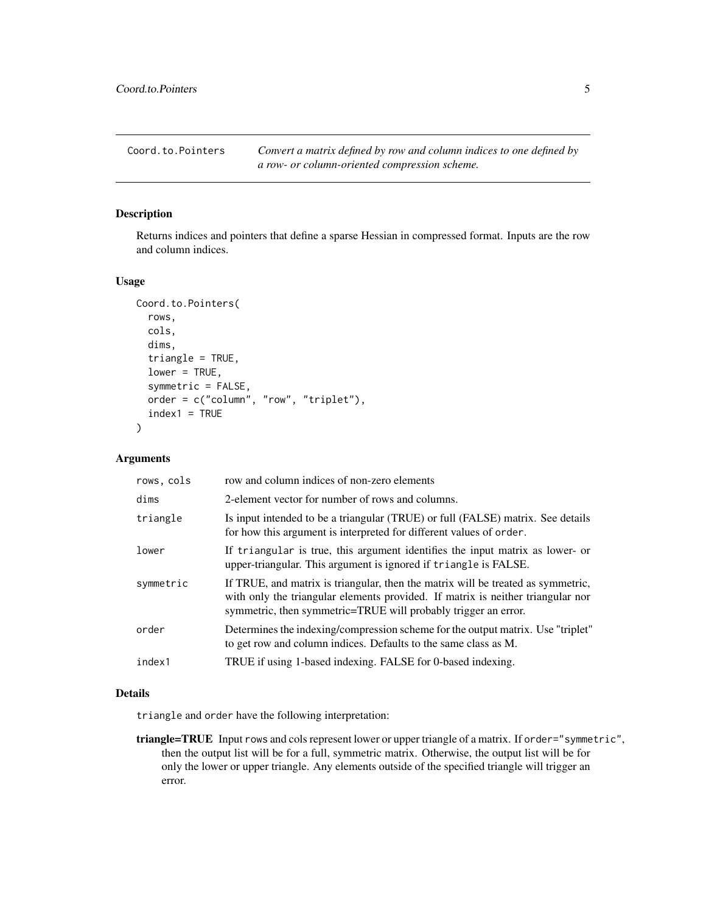<span id="page-4-0"></span>Coord.to.Pointers *Convert a matrix defined by row and column indices to one defined by a row- or column-oriented compression scheme.*

#### Description

Returns indices and pointers that define a sparse Hessian in compressed format. Inputs are the row and column indices.

#### Usage

```
Coord.to.Pointers(
  rows,
  cols,
  dims,
  triangle = TRUE,
  lower = TRUE,symmetric = FALSE,
  order = c("column", "row", "triplet"),
  index1 = TRUE)
```
#### Arguments

| rows, cols | row and column indices of non-zero elements                                                                                                                                                                                           |
|------------|---------------------------------------------------------------------------------------------------------------------------------------------------------------------------------------------------------------------------------------|
| dims       | 2-element vector for number of rows and columns.                                                                                                                                                                                      |
| triangle   | Is input intended to be a triangular (TRUE) or full (FALSE) matrix. See details<br>for how this argument is interpreted for different values of order.                                                                                |
| lower      | If triangular is true, this argument identifies the input matrix as lower- or<br>upper-triangular. This argument is ignored if triangle is FALSE.                                                                                     |
| symmetric  | If TRUE, and matrix is triangular, then the matrix will be treated as symmetric,<br>with only the triangular elements provided. If matrix is neither triangular nor<br>symmetric, then symmetric=TRUE will probably trigger an error. |
| order      | Determines the indexing/compression scheme for the output matrix. Use "triplet"<br>to get row and column indices. Defaults to the same class as M.                                                                                    |
| index1     | TRUE if using 1-based indexing. FALSE for 0-based indexing.                                                                                                                                                                           |
|            |                                                                                                                                                                                                                                       |

#### Details

triangle and order have the following interpretation:

triangle=TRUE Input rows and cols represent lower or upper triangle of a matrix. If order="symmetric", then the output list will be for a full, symmetric matrix. Otherwise, the output list will be for only the lower or upper triangle. Any elements outside of the specified triangle will trigger an error.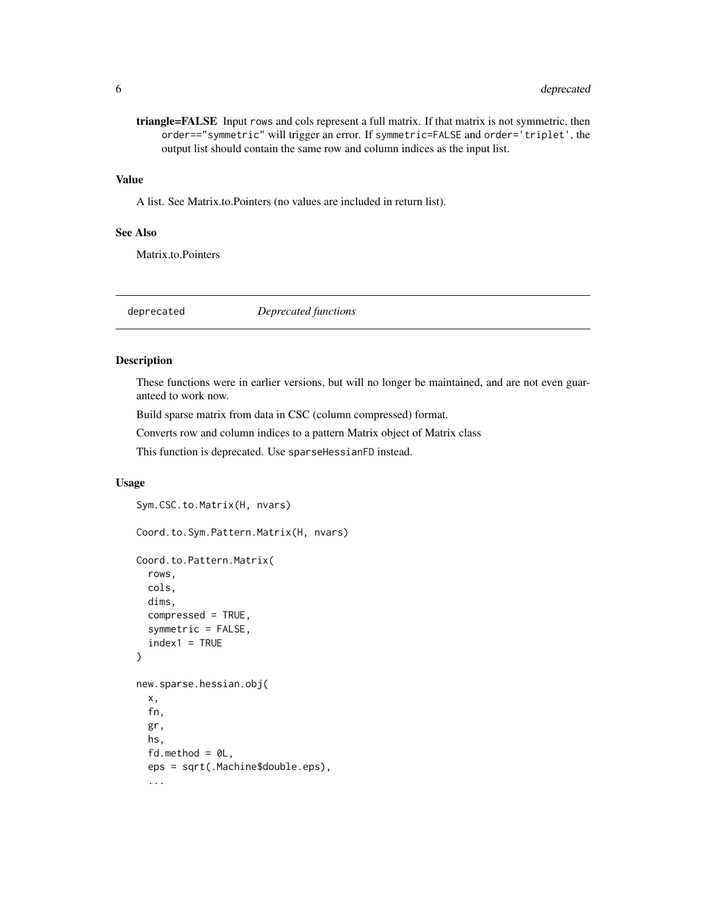<span id="page-5-0"></span>triangle=FALSE Input rows and cols represent a full matrix. If that matrix is not symmetric, then order=="symmetric" will trigger an error. If symmetric=FALSE and order='triplet', the output list should contain the same row and column indices as the input list.

#### Value

A list. See Matrix.to.Pointers (no values are included in return list).

#### See Also

Matrix.to.Pointers

deprecated *Deprecated functions*

# Description

These functions were in earlier versions, but will no longer be maintained, and are not even guaranteed to work now.

Build sparse matrix from data in CSC (column compressed) format.

Converts row and column indices to a pattern Matrix object of Matrix class

This function is deprecated. Use sparseHessianFD instead.

#### Usage

```
Sym.CSC.to.Matrix(H, nvars)
Coord.to.Sym.Pattern.Matrix(H, nvars)
Coord.to.Pattern.Matrix(
  rows,
  cols,
  dims,
  compressed = TRUE,
  symmetric = FALSE,
  index1 = TRUE
)
new.sparse.hessian.obj(
 x,
  fn,
 gr,
 hs,
  fd.method = @L,
  eps = sqrt(.Machine$double.eps),
  ...
```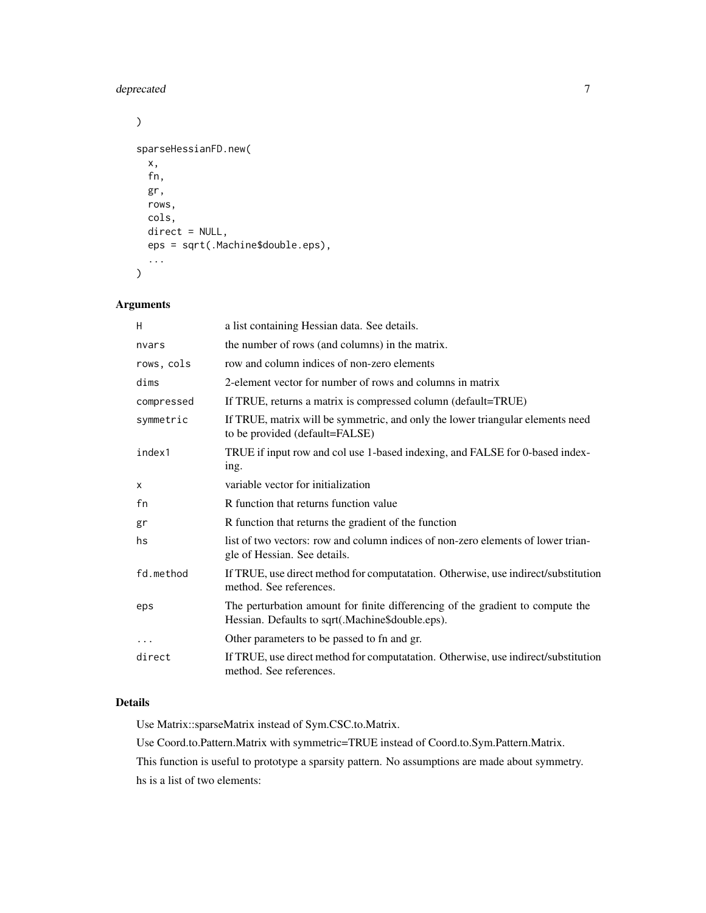# deprecated 7

```
\mathcal{L}sparseHessianFD.new(
  x,
  fn,
  gr,
  rows,
  cols,
  direct = NULL,
  eps = sqrt(.Machine$double.eps),
  ...
\mathcal{L}
```
# Arguments

| H          | a list containing Hessian data. See details.                                                                                       |
|------------|------------------------------------------------------------------------------------------------------------------------------------|
| nvars      | the number of rows (and columns) in the matrix.                                                                                    |
| rows, cols | row and column indices of non-zero elements                                                                                        |
| dims       | 2-element vector for number of rows and columns in matrix                                                                          |
| compressed | If TRUE, returns a matrix is compressed column (default=TRUE)                                                                      |
| symmetric  | If TRUE, matrix will be symmetric, and only the lower triangular elements need<br>to be provided (default=FALSE)                   |
| index1     | TRUE if input row and col use 1-based indexing, and FALSE for 0-based index-<br>ing.                                               |
| X          | variable vector for initialization                                                                                                 |
| fn         | R function that returns function value                                                                                             |
| gr         | R function that returns the gradient of the function                                                                               |
| hs         | list of two vectors: row and column indices of non-zero elements of lower trian-<br>gle of Hessian. See details.                   |
| fd.method  | If TRUE, use direct method for computatation. Otherwise, use indirect/substitution<br>method. See references.                      |
| eps        | The perturbation amount for finite differencing of the gradient to compute the<br>Hessian. Defaults to sqrt(.Machine\$double.eps). |
| $\cdots$   | Other parameters to be passed to fn and gr.                                                                                        |
| direct     | If TRUE, use direct method for computatation. Otherwise, use indirect/substitution<br>method. See references.                      |

# Details

Use Matrix::sparseMatrix instead of Sym.CSC.to.Matrix.

Use Coord.to.Pattern.Matrix with symmetric=TRUE instead of Coord.to.Sym.Pattern.Matrix.

This function is useful to prototype a sparsity pattern. No assumptions are made about symmetry.

hs is a list of two elements: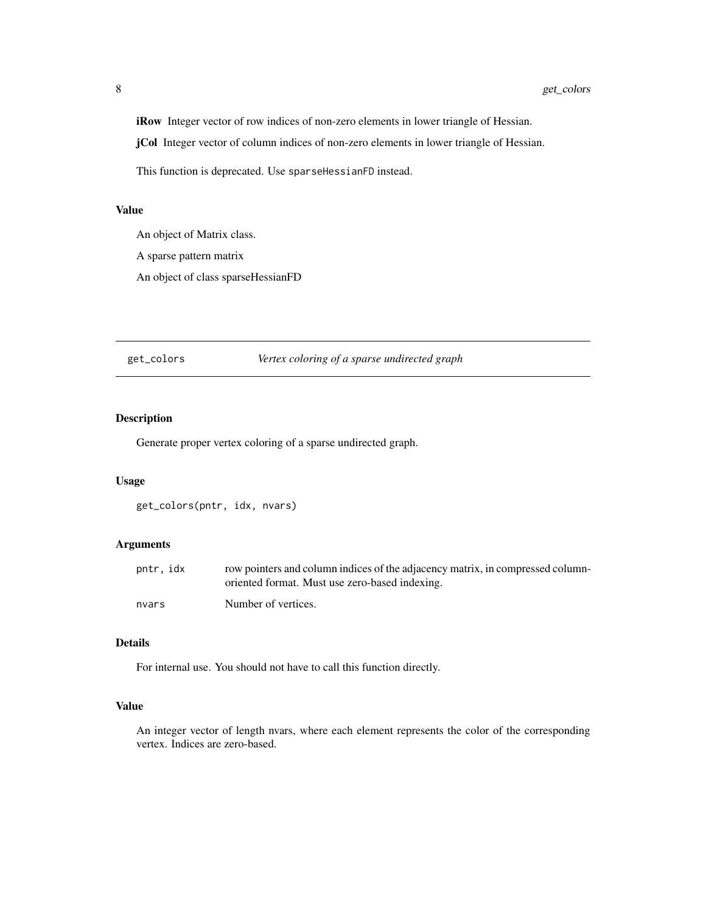<span id="page-7-0"></span>iRow Integer vector of row indices of non-zero elements in lower triangle of Hessian.

jCol Integer vector of column indices of non-zero elements in lower triangle of Hessian.

This function is deprecated. Use sparseHessianFD instead.

#### Value

An object of Matrix class. A sparse pattern matrix An object of class sparseHessianFD

get\_colors *Vertex coloring of a sparse undirected graph*

# Description

Generate proper vertex coloring of a sparse undirected graph.

# Usage

get\_colors(pntr, idx, nvars)

# Arguments

| pntr, idx | row pointers and column indices of the adjacency matrix, in compressed column-<br>oriented format. Must use zero-based indexing. |
|-----------|----------------------------------------------------------------------------------------------------------------------------------|
| nvars     | Number of vertices.                                                                                                              |

# Details

For internal use. You should not have to call this function directly.

### Value

An integer vector of length nvars, where each element represents the color of the corresponding vertex. Indices are zero-based.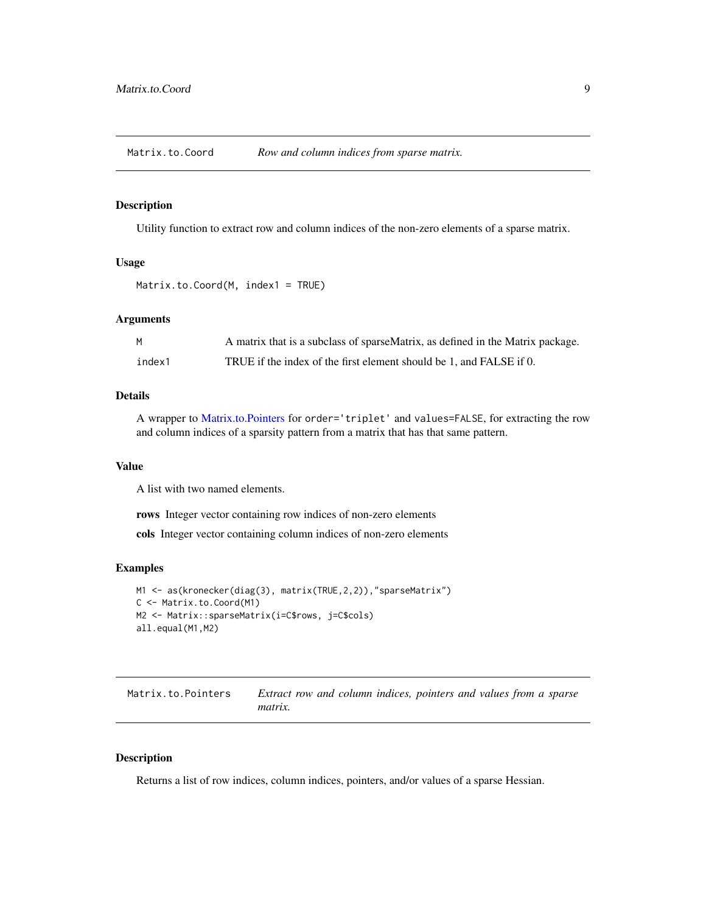<span id="page-8-1"></span><span id="page-8-0"></span>Matrix.to.Coord *Row and column indices from sparse matrix.*

#### Description

Utility function to extract row and column indices of the non-zero elements of a sparse matrix.

#### Usage

Matrix.to.Coord(M, index1 = TRUE)

#### Arguments

| M      | A matrix that is a subclass of sparseMatrix, as defined in the Matrix package. |
|--------|--------------------------------------------------------------------------------|
| index1 | TRUE if the index of the first element should be 1, and FALSE if 0.            |

#### Details

A wrapper to [Matrix.to.Pointers](#page-8-2) for order='triplet' and values=FALSE, for extracting the row and column indices of a sparsity pattern from a matrix that has that same pattern.

#### Value

A list with two named elements.

rows Integer vector containing row indices of non-zero elements

cols Integer vector containing column indices of non-zero elements

# Examples

```
M1 <- as(kronecker(diag(3), matrix(TRUE,2,2)),"sparseMatrix")
C <- Matrix.to.Coord(M1)
M2 <- Matrix::sparseMatrix(i=C$rows, j=C$cols)
all.equal(M1,M2)
```
<span id="page-8-2"></span>

| Matrix.to.Pointers | Extract row and column indices, pointers and values from a sparse |  |  |  |  |
|--------------------|-------------------------------------------------------------------|--|--|--|--|
|                    | <i>matrix.</i>                                                    |  |  |  |  |

#### Description

Returns a list of row indices, column indices, pointers, and/or values of a sparse Hessian.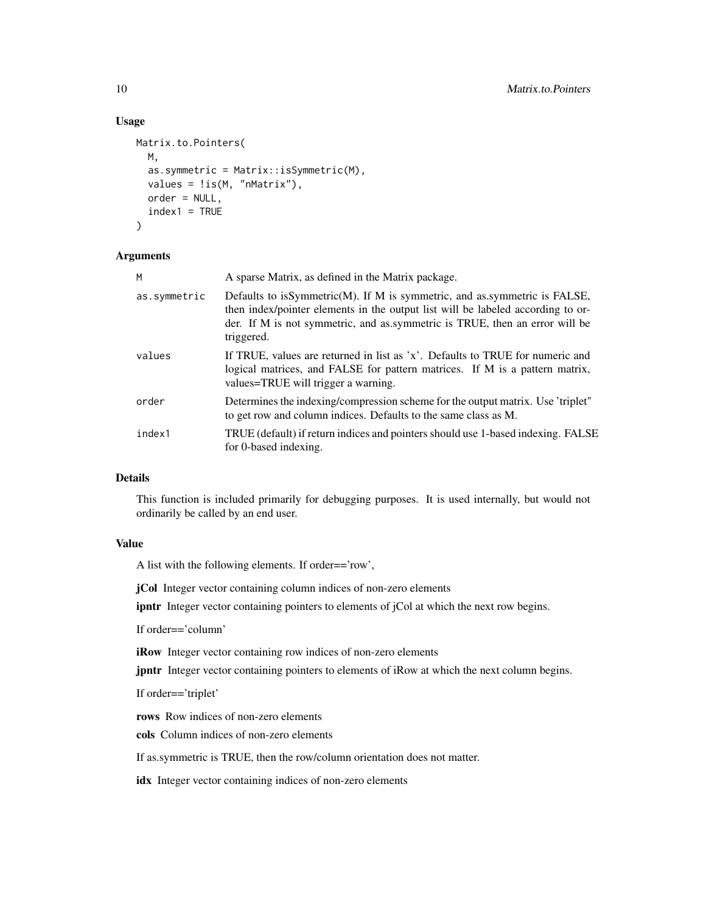#### Usage

```
Matrix.to.Pointers(
 M,
  as.symmetric = Matrix::isSymmetric(M),
 values = !is(M, "nMatrix"),
 order = NULL,
  index1 = TRUE)
```
#### Arguments

| M            | A sparse Matrix, as defined in the Matrix package.                                                                                                                                                                                                        |
|--------------|-----------------------------------------------------------------------------------------------------------------------------------------------------------------------------------------------------------------------------------------------------------|
| as.symmetric | Defaults to isSymmetric(M). If M is symmetric, and as symmetric is FALSE,<br>then index/pointer elements in the output list will be labeled according to or-<br>der. If M is not symmetric, and as symmetric is TRUE, then an error will be<br>triggered. |
| values       | If TRUE, values are returned in list as 'x'. Defaults to TRUE for numeric and<br>logical matrices, and FALSE for pattern matrices. If M is a pattern matrix,<br>values=TRUE will trigger a warning.                                                       |
| order        | Determines the indexing/compression scheme for the output matrix. Use 'triplet"<br>to get row and column indices. Defaults to the same class as M.                                                                                                        |
| index1       | TRUE (default) if return indices and pointers should use 1-based indexing. FALSE<br>for 0-based indexing.                                                                                                                                                 |

#### Details

This function is included primarily for debugging purposes. It is used internally, but would not ordinarily be called by an end user.

# Value

A list with the following elements. If order=='row',

jCol Integer vector containing column indices of non-zero elements

ipntr Integer vector containing pointers to elements of jCol at which the next row begins.

If order=='column'

iRow Integer vector containing row indices of non-zero elements

jpntr Integer vector containing pointers to elements of iRow at which the next column begins.

If order=='triplet'

rows Row indices of non-zero elements

cols Column indices of non-zero elements

If as.symmetric is TRUE, then the row/column orientation does not matter.

idx Integer vector containing indices of non-zero elements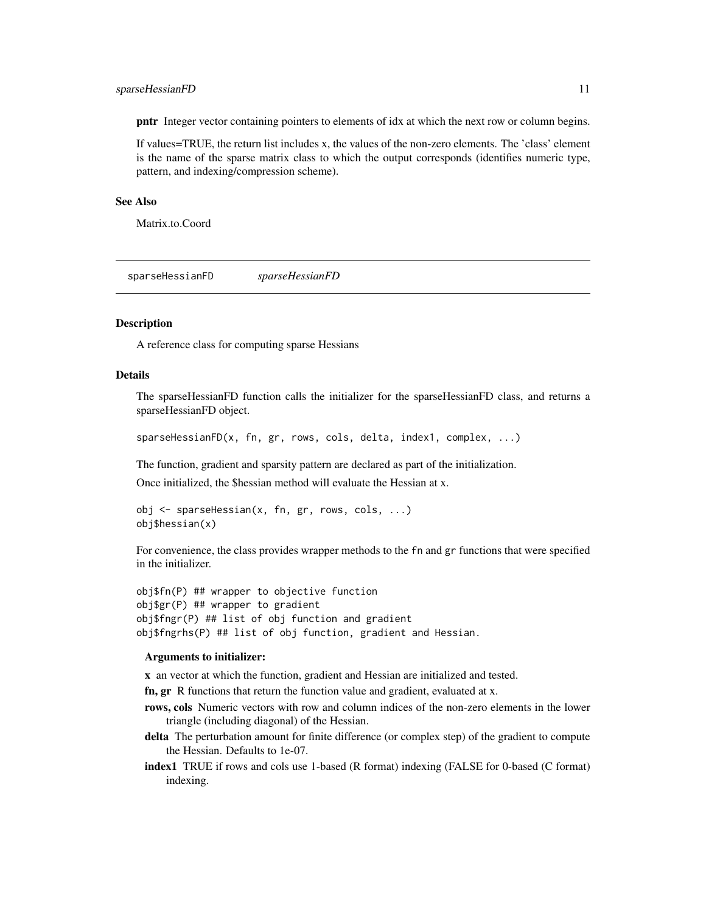#### <span id="page-10-0"></span>sparseHessianFD 11

pntr Integer vector containing pointers to elements of idx at which the next row or column begins.

If values=TRUE, the return list includes x, the values of the non-zero elements. The 'class' element is the name of the sparse matrix class to which the output corresponds (identifies numeric type, pattern, and indexing/compression scheme).

#### See Also

Matrix.to.Coord

<span id="page-10-1"></span>sparseHessianFD *sparseHessianFD*

# **Description**

A reference class for computing sparse Hessians

# Details

The sparseHessianFD function calls the initializer for the sparseHessianFD class, and returns a sparseHessianFD object.

sparseHessianFD(x, fn, gr, rows, cols, delta, index1, complex, ...)

The function, gradient and sparsity pattern are declared as part of the initialization.

Once initialized, the \$hessian method will evaluate the Hessian at x.

```
obj <- sparseHessian(x, fn, gr, rows, cols, ...)
obj$hessian(x)
```
For convenience, the class provides wrapper methods to the fn and gr functions that were specified in the initializer.

```
obj$fn(P) ## wrapper to objective function
obj$gr(P) ## wrapper to gradient
obj$fngr(P) ## list of obj function and gradient
obj$fngrhs(P) ## list of obj function, gradient and Hessian.
```
#### Arguments to initializer:

x an vector at which the function, gradient and Hessian are initialized and tested.

fn, gr R functions that return the function value and gradient, evaluated at x.

- rows, cols Numeric vectors with row and column indices of the non-zero elements in the lower triangle (including diagonal) of the Hessian.
- delta The perturbation amount for finite difference (or complex step) of the gradient to compute the Hessian. Defaults to 1e-07.
- index1 TRUE if rows and cols use 1-based (R format) indexing (FALSE for 0-based (C format) indexing.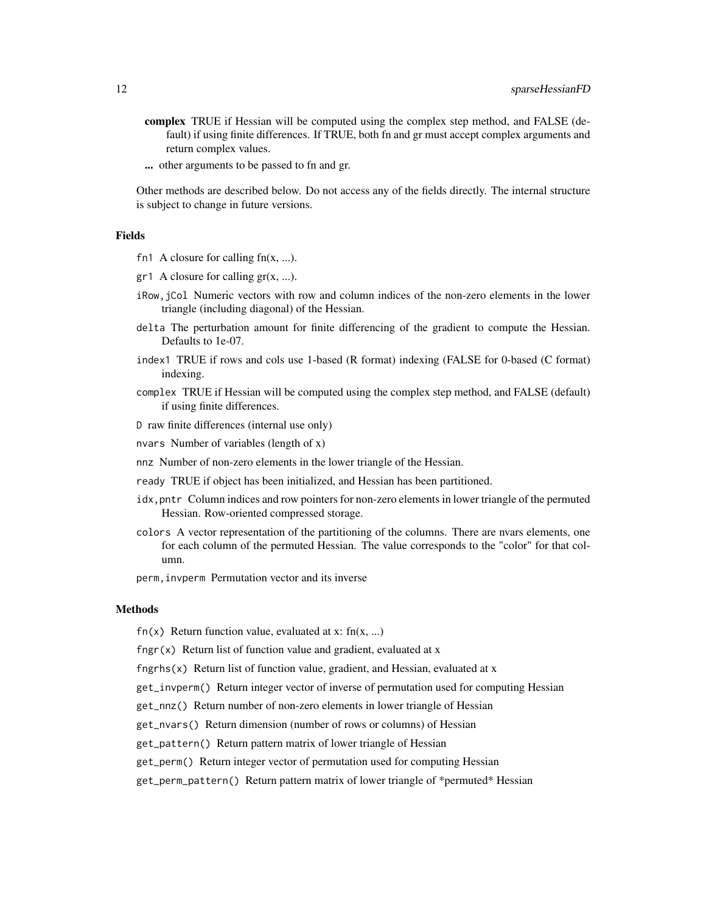- complex TRUE if Hessian will be computed using the complex step method, and FALSE (default) if using finite differences. If TRUE, both fn and gr must accept complex arguments and return complex values.
- ... other arguments to be passed to fn and gr.

Other methods are described below. Do not access any of the fields directly. The internal structure is subject to change in future versions.

# Fields

- fn1 A closure for calling  $fn(x, ...)$ .
- $gr1$  A closure for calling  $gr(x, ...)$ .
- iRow,jCol Numeric vectors with row and column indices of the non-zero elements in the lower triangle (including diagonal) of the Hessian.
- delta The perturbation amount for finite differencing of the gradient to compute the Hessian. Defaults to 1e-07.
- index1 TRUE if rows and cols use 1-based (R format) indexing (FALSE for 0-based (C format) indexing.
- complex TRUE if Hessian will be computed using the complex step method, and FALSE (default) if using finite differences.
- D raw finite differences (internal use only)
- nvars Number of variables (length of x)
- nnz Number of non-zero elements in the lower triangle of the Hessian.
- ready TRUE if object has been initialized, and Hessian has been partitioned.
- idx,pntr Column indices and row pointers for non-zero elements in lower triangle of the permuted Hessian. Row-oriented compressed storage.
- colors A vector representation of the partitioning of the columns. There are nvars elements, one for each column of the permuted Hessian. The value corresponds to the "color" for that column.

perm,invperm Permutation vector and its inverse

#### Methods

fn(x) Return function value, evaluated at x:  $fn(x, ...)$ 

fngr $(x)$  Return list of function value and gradient, evaluated at x

 $f$ ngrhs(x) Return list of function value, gradient, and Hessian, evaluated at x

get\_invperm() Return integer vector of inverse of permutation used for computing Hessian

get\_nnz() Return number of non-zero elements in lower triangle of Hessian

get\_nvars() Return dimension (number of rows or columns) of Hessian

get\_pattern() Return pattern matrix of lower triangle of Hessian

get\_perm() Return integer vector of permutation used for computing Hessian

get\_perm\_pattern() Return pattern matrix of lower triangle of \*permuted\* Hessian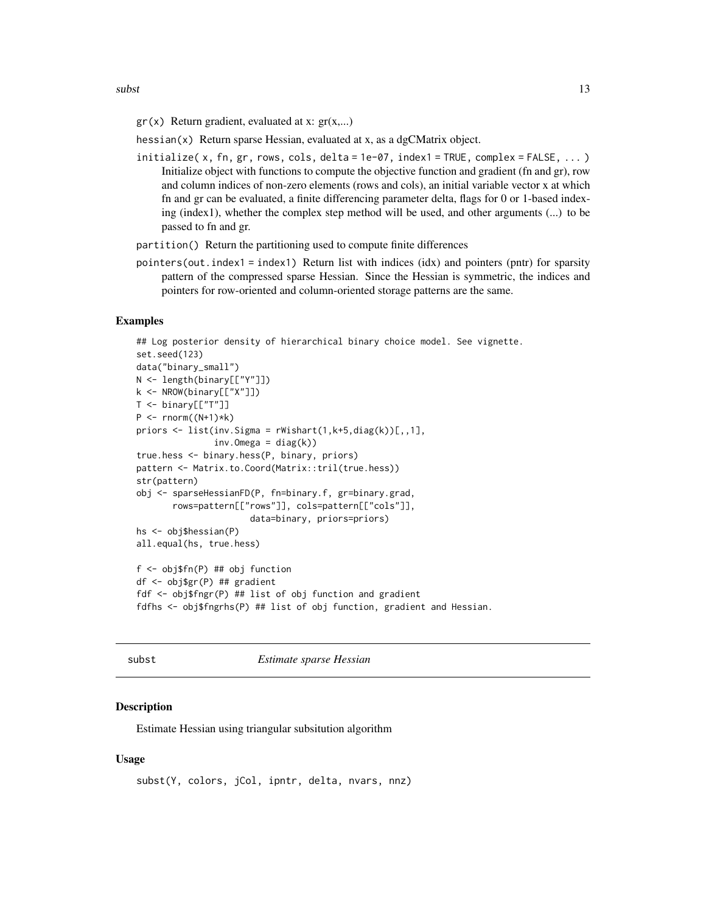<span id="page-12-0"></span> $subst$  13

 $gr(x)$  Return gradient, evaluated at x:  $gr(x,...)$ 

hessian(x) Return sparse Hessian, evaluated at x, as a dgCMatrix object.

- initialize( x, fn, gr, rows, cols, delta = 1e-07, index1 = TRUE, complex = FALSE, ... ) Initialize object with functions to compute the objective function and gradient (fn and gr), row and column indices of non-zero elements (rows and cols), an initial variable vector x at which fn and gr can be evaluated, a finite differencing parameter delta, flags for 0 or 1-based indexing (index1), whether the complex step method will be used, and other arguments (...) to be passed to fn and gr.
- partition() Return the partitioning used to compute finite differences
- pointers (out. index1 = index1) Return list with indices (idx) and pointers (pntr) for sparsity pattern of the compressed sparse Hessian. Since the Hessian is symmetric, the indices and pointers for row-oriented and column-oriented storage patterns are the same.

# Examples

```
## Log posterior density of hierarchical binary choice model. See vignette.
set.seed(123)
data("binary_small")
N <- length(binary[["Y"]])
k <- NROW(binary[["X"]])
T < - binary[["T"]]
P \leftarrow \text{norm}((N+1)*k)priors <- list(inv.Sigma = rWishart(1,k+5,diag(k))[,,1],
               inv.Omega = diag(k))
true.hess <- binary.hess(P, binary, priors)
pattern <- Matrix.to.Coord(Matrix::tril(true.hess))
str(pattern)
obj <- sparseHessianFD(P, fn=binary.f, gr=binary.grad,
       rows=pattern[["rows"]], cols=pattern[["cols"]],
                      data=binary, priors=priors)
hs <- obj$hessian(P)
all.equal(hs, true.hess)
f <- obj$fn(P) ## obj function
df <- obj$gr(P) ## gradient
fdf <- obj$fngr(P) ## list of obj function and gradient
fdfhs <- obj$fngrhs(P) ## list of obj function, gradient and Hessian.
```
#### subst *Estimate sparse Hessian*

#### **Description**

Estimate Hessian using triangular subsitution algorithm

#### Usage

```
subst(Y, colors, jCol, ipntr, delta, nvars, nnz)
```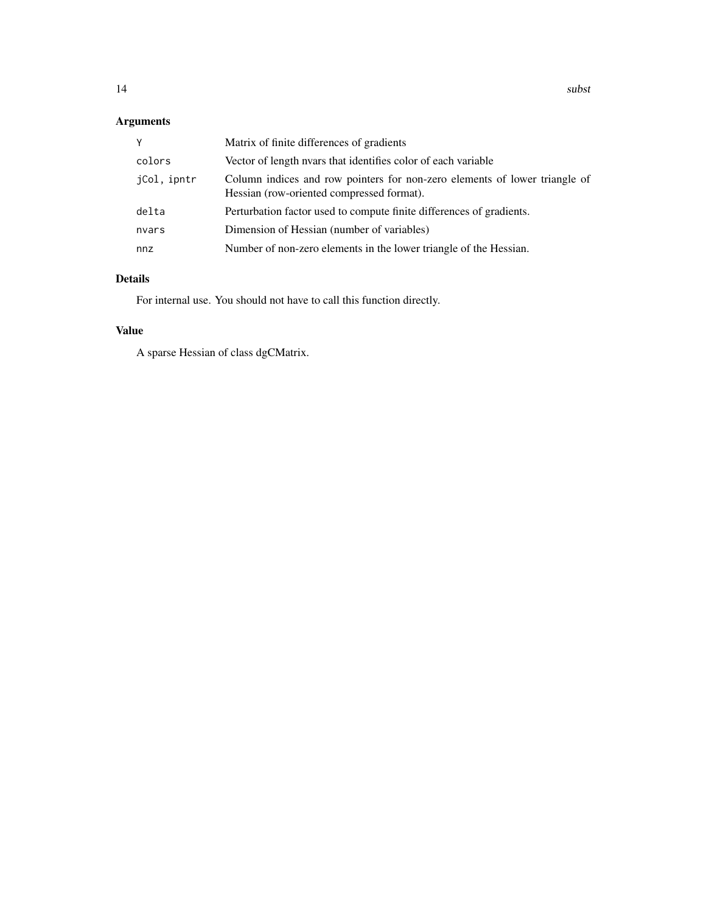# Arguments

| Y           | Matrix of finite differences of gradients                                                                               |
|-------------|-------------------------------------------------------------------------------------------------------------------------|
| colors      | Vector of length nyars that identifies color of each variable                                                           |
| iCol, ipntr | Column indices and row pointers for non-zero elements of lower triangle of<br>Hessian (row-oriented compressed format). |
| delta       | Perturbation factor used to compute finite differences of gradients.                                                    |
| nvars       | Dimension of Hessian (number of variables)                                                                              |
| nnz         | Number of non-zero elements in the lower triangle of the Hessian.                                                       |

# Details

For internal use. You should not have to call this function directly.

# Value

A sparse Hessian of class dgCMatrix.